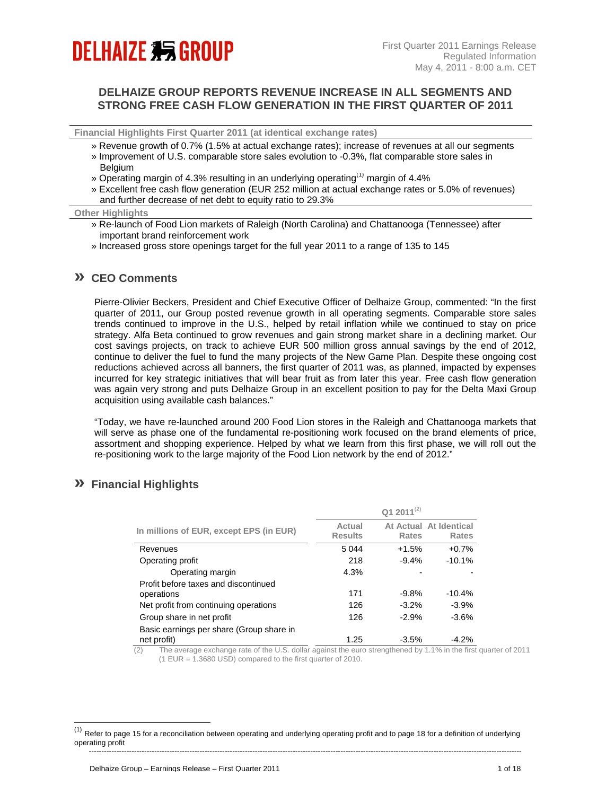# **DELHAIZE 剩 GROUP**

# **DELHAIZE GROUP REPORTS REVENUE INCREASE IN ALL SEGMENTS AND STRONG FREE CASH FLOW GENERATION IN THE FIRST QUARTER OF 2011**

**Financial Highlights First Quarter 2011 (at identical exchange rates)**

- » Revenue growth of 0.7% (1.5% at actual exchange rates); increase of revenues at all our segments
- » Improvement of U.S. comparable store sales evolution to -0.3%, flat comparable store sales in **Belgium**
- » Operating margin of 4.3% resulting in an underlying operating<sup>(1)</sup> margin of 4.4%
- » Excellent free cash flow generation (EUR 252 million at actual exchange rates or 5.0% of revenues) and further decrease of net debt to equity ratio to 29.3%

#### **Other Highlights**

- » Re-launch of Food Lion markets of Raleigh (North Carolina) and Chattanooga (Tennessee) after important brand reinforcement work
- » Increased gross store openings target for the full year 2011 to a range of 135 to 145

### **» CEO Comments**

Pierre-Olivier Beckers, President and Chief Executive Officer of Delhaize Group, commented: "In the first quarter of 2011, our Group posted revenue growth in all operating segments. Comparable store sales trends continued to improve in the U.S., helped by retail inflation while we continued to stay on price strategy. Alfa Beta continued to grow revenues and gain strong market share in a declining market. Our cost savings projects, on track to achieve EUR 500 million gross annual savings by the end of 2012, continue to deliver the fuel to fund the many projects of the New Game Plan. Despite these ongoing cost reductions achieved across all banners, the first quarter of 2011 was, as planned, impacted by expenses incurred for key strategic initiatives that will bear fruit as from later this year. Free cash flow generation was again very strong and puts Delhaize Group in an excellent position to pay for the Delta Maxi Group acquisition using available cash balances."

"Today, we have re-launched around 200 Food Lion stores in the Raleigh and Chattanooga markets that will serve as phase one of the fundamental re-positioning work focused on the brand elements of price, assortment and shopping experience. Helped by what we learn from this first phase, we will roll out the re-positioning work to the large majority of the Food Lion network by the end of 2012."

# **» Financial Highlights**

l

|                                                         |                          | Q1 2011 $(2)$ |                                 |
|---------------------------------------------------------|--------------------------|---------------|---------------------------------|
| In millions of EUR, except EPS (in EUR)                 | Actual<br><b>Results</b> | <b>Rates</b>  | At Actual At Identical<br>Rates |
| Revenues                                                | 5044                     | $+1.5%$       | $+0.7%$                         |
| Operating profit                                        | 218                      | $-9.4%$       | $-10.1%$                        |
| Operating margin                                        | 4.3%                     |               |                                 |
| Profit before taxes and discontinued                    |                          |               |                                 |
| operations                                              | 171                      | $-9.8%$       | $-10.4%$                        |
| Net profit from continuing operations                   | 126                      | $-3.2\%$      | $-3.9%$                         |
| Group share in net profit                               | 126                      | $-2.9%$       | $-3.6%$                         |
| Basic earnings per share (Group share in<br>net profit) | 1.25                     | $-3.5%$       | $-4.2%$                         |

(2) The average exchange rate of the U.S. dollar against the euro strengthened by 1.1% in the first quarter of 2011 (1 EUR = 1.3680 USD) compared to the first quarter of 2010.

<sup>----------------------------------------------------------------------------------------------------------------------------------------------------------------------------</sup>   $(1)$  Refer to page 15 for a reconciliation between operating and underlying operating profit and to page 18 for a definition of underlying operating profit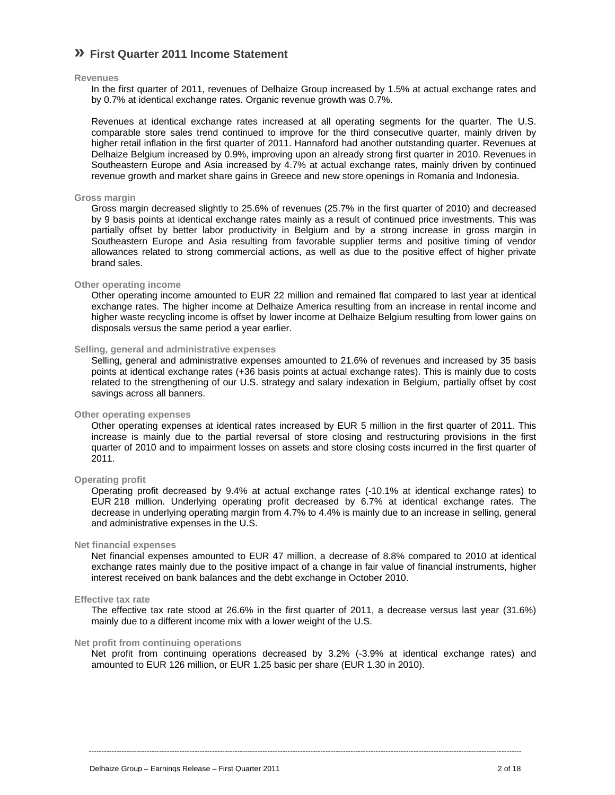# **» First Quarter 2011 Income Statement**

### **Revenues**

In the first quarter of 2011, revenues of Delhaize Group increased by 1.5% at actual exchange rates and by 0.7% at identical exchange rates. Organic revenue growth was 0.7%.

Revenues at identical exchange rates increased at all operating segments for the quarter. The U.S. comparable store sales trend continued to improve for the third consecutive quarter, mainly driven by higher retail inflation in the first quarter of 2011. Hannaford had another outstanding quarter. Revenues at Delhaize Belgium increased by 0.9%, improving upon an already strong first quarter in 2010. Revenues in Southeastern Europe and Asia increased by 4.7% at actual exchange rates, mainly driven by continued revenue growth and market share gains in Greece and new store openings in Romania and Indonesia.

### **Gross margin**

Gross margin decreased slightly to 25.6% of revenues (25.7% in the first quarter of 2010) and decreased by 9 basis points at identical exchange rates mainly as a result of continued price investments. This was partially offset by better labor productivity in Belgium and by a strong increase in gross margin in Southeastern Europe and Asia resulting from favorable supplier terms and positive timing of vendor allowances related to strong commercial actions, as well as due to the positive effect of higher private brand sales.

### **Other operating income**

Other operating income amounted to EUR 22 million and remained flat compared to last year at identical exchange rates. The higher income at Delhaize America resulting from an increase in rental income and higher waste recycling income is offset by lower income at Delhaize Belgium resulting from lower gains on disposals versus the same period a year earlier.

### **Selling, general and administrative expenses**

Selling, general and administrative expenses amounted to 21.6% of revenues and increased by 35 basis points at identical exchange rates (+36 basis points at actual exchange rates). This is mainly due to costs related to the strengthening of our U.S. strategy and salary indexation in Belgium, partially offset by cost savings across all banners.

### **Other operating expenses**

Other operating expenses at identical rates increased by EUR 5 million in the first quarter of 2011. This increase is mainly due to the partial reversal of store closing and restructuring provisions in the first quarter of 2010 and to impairment losses on assets and store closing costs incurred in the first quarter of 2011.

### **Operating profit**

Operating profit decreased by 9.4% at actual exchange rates (-10.1% at identical exchange rates) to EUR 218 million. Underlying operating profit decreased by 6.7% at identical exchange rates. The decrease in underlying operating margin from 4.7% to 4.4% is mainly due to an increase in selling, general and administrative expenses in the U.S.

### **Net financial expenses**

Net financial expenses amounted to EUR 47 million, a decrease of 8.8% compared to 2010 at identical exchange rates mainly due to the positive impact of a change in fair value of financial instruments, higher interest received on bank balances and the debt exchange in October 2010.

#### **Effective tax rate**

The effective tax rate stood at 26.6% in the first quarter of 2011, a decrease versus last year (31.6%) mainly due to a different income mix with a lower weight of the U.S.

### **Net profit from continuing operations**

Net profit from continuing operations decreased by 3.2% (-3.9% at identical exchange rates) and amounted to EUR 126 million, or EUR 1.25 basic per share (EUR 1.30 in 2010).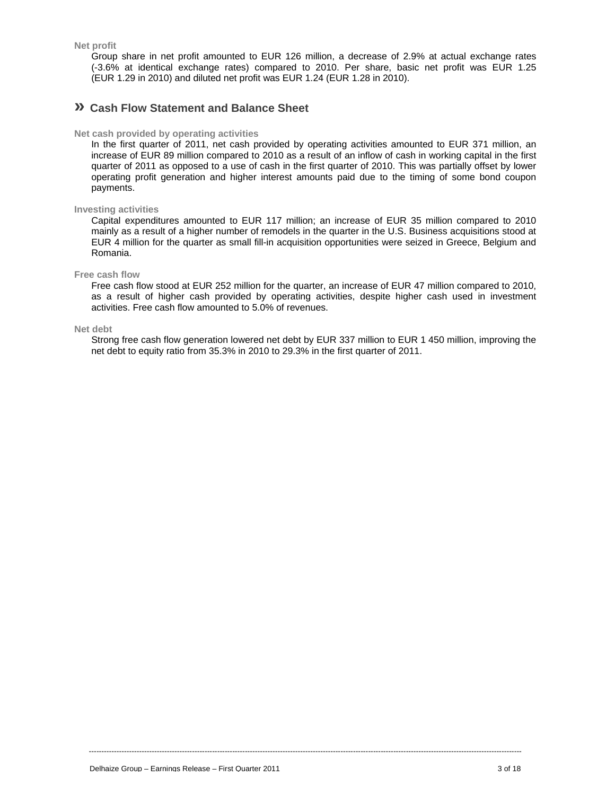**Net profit** 

Group share in net profit amounted to EUR 126 million, a decrease of 2.9% at actual exchange rates (-3.6% at identical exchange rates) compared to 2010. Per share, basic net profit was EUR 1.25 (EUR 1.29 in 2010) and diluted net profit was EUR 1.24 (EUR 1.28 in 2010).

### **» Cash Flow Statement and Balance Sheet**

### **Net cash provided by operating activities**

In the first quarter of 2011, net cash provided by operating activities amounted to EUR 371 million, an increase of EUR 89 million compared to 2010 as a result of an inflow of cash in working capital in the first quarter of 2011 as opposed to a use of cash in the first quarter of 2010. This was partially offset by lower operating profit generation and higher interest amounts paid due to the timing of some bond coupon payments.

### **Investing activities**

Capital expenditures amounted to EUR 117 million; an increase of EUR 35 million compared to 2010 mainly as a result of a higher number of remodels in the quarter in the U.S. Business acquisitions stood at EUR 4 million for the quarter as small fill-in acquisition opportunities were seized in Greece, Belgium and Romania.

#### **Free cash flow**

Free cash flow stood at EUR 252 million for the quarter, an increase of EUR 47 million compared to 2010, as a result of higher cash provided by operating activities, despite higher cash used in investment activities. Free cash flow amounted to 5.0% of revenues.

**Net debt** 

Strong free cash flow generation lowered net debt by EUR 337 million to EUR 1 450 million, improving the net debt to equity ratio from 35.3% in 2010 to 29.3% in the first quarter of 2011.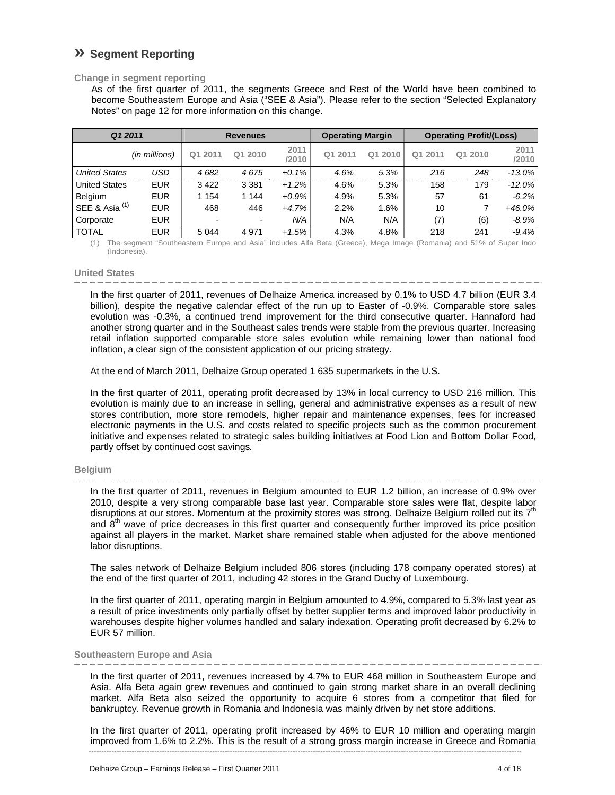# **» Segment Reporting**

### **Change in segment reporting**

As of the first quarter of 2011, the segments Greece and Rest of the World have been combined to become Southeastern Europe and Asia ("SEE & Asia"). Please refer to the section "Selected Explanatory Notes" on page 12 for more information on this change.

| Q1 2011                   |               |                | <b>Revenues</b> |               | <b>Operating Margin</b> |            | <b>Operating Profit/(Loss)</b> |         |               |
|---------------------------|---------------|----------------|-----------------|---------------|-------------------------|------------|--------------------------------|---------|---------------|
|                           | (in millions) | Q1 2011        | Q1 2010         | 2011<br>/2010 | Q1 2011                 | 2010<br>Q1 | Q1 2011                        | Q1 2010 | 2011<br>/2010 |
| <b>United States</b>      | USD           | 4682           | 4675            | $+0.1%$       | 4.6%                    | 5.3%       | 216                            | 248     | $-13.0\%$     |
| <b>United States</b>      | <b>EUR</b>    | 3422           | 3 3 8 1         | $+1.2%$       | 4.6%                    | 5.3%       | 158                            | 179     | $-12.0\%$     |
| <b>Belgium</b>            | <b>EUR</b>    | 1 1 5 4        | 1 1 4 4         | $+0.9%$       | 4.9%                    | 5.3%       | 57                             | 61      | $-6.2%$       |
| SEE & Asia <sup>(1)</sup> | <b>EUR</b>    | 468            | 446             | $+4.7%$       | 2.2%                    | 1.6%       | 10                             |         | $+46.0\%$     |
| Corporate                 | <b>EUR</b>    | $\blacksquare$ | ۰               | N/A           | N/A                     | N/A        | (7)                            | (6)     | $-8.9\%$      |
| <b>TOTAL</b>              | <b>EUR</b>    | 5 0 4 4        | 4 9 7 1         | $+1.5%$       | 4.3%                    | 4.8%       | 218                            | 241     | $-9.4%$       |

(1) The segment "Southeastern Europe and Asia" includes Alfa Beta (Greece), Mega Image (Romania) and 51% of Super Indo (Indonesia).

### **United States**

In the first quarter of 2011, revenues of Delhaize America increased by 0.1% to USD 4.7 billion (EUR 3.4 billion), despite the negative calendar effect of the run up to Easter of -0.9%. Comparable store sales evolution was -0.3%, a continued trend improvement for the third consecutive quarter. Hannaford had another strong quarter and in the Southeast sales trends were stable from the previous quarter. Increasing retail inflation supported comparable store sales evolution while remaining lower than national food inflation, a clear sign of the consistent application of our pricing strategy.

At the end of March 2011, Delhaize Group operated 1 635 supermarkets in the U.S.

In the first quarter of 2011, operating profit decreased by 13% in local currency to USD 216 million. This evolution is mainly due to an increase in selling, general and administrative expenses as a result of new stores contribution, more store remodels, higher repair and maintenance expenses, fees for increased electronic payments in the U.S. and costs related to specific projects such as the common procurement initiative and expenses related to strategic sales building initiatives at Food Lion and Bottom Dollar Food, partly offset by continued cost savings*.*

### **Belgium**

In the first quarter of 2011, revenues in Belgium amounted to EUR 1.2 billion, an increase of 0.9% over 2010, despite a very strong comparable base last year. Comparable store sales were flat, despite labor disruptions at our stores. Momentum at the proximity stores was strong. Delhaize Belgium rolled out its  $7<sup>th</sup>$ and 8<sup>th</sup> wave of price decreases in this first quarter and consequently further improved its price position against all players in the market. Market share remained stable when adjusted for the above mentioned labor disruptions.

The sales network of Delhaize Belgium included 806 stores (including 178 company operated stores) at the end of the first quarter of 2011, including 42 stores in the Grand Duchy of Luxembourg.

In the first quarter of 2011, operating margin in Belgium amounted to 4.9%, compared to 5.3% last year as a result of price investments only partially offset by better supplier terms and improved labor productivity in warehouses despite higher volumes handled and salary indexation. Operating profit decreased by 6.2% to EUR 57 million.

### **Southeastern Europe and Asia**

In the first quarter of 2011, revenues increased by 4.7% to EUR 468 million in Southeastern Europe and Asia. Alfa Beta again grew revenues and continued to gain strong market share in an overall declining market. Alfa Beta also seized the opportunity to acquire 6 stores from a competitor that filed for bankruptcy. Revenue growth in Romania and Indonesia was mainly driven by net store additions.

In the first quarter of 2011, operating profit increased by 46% to EUR 10 million and operating margin improved from 1.6% to 2.2%. This is the result of a strong gross margin increase in Greece and Romania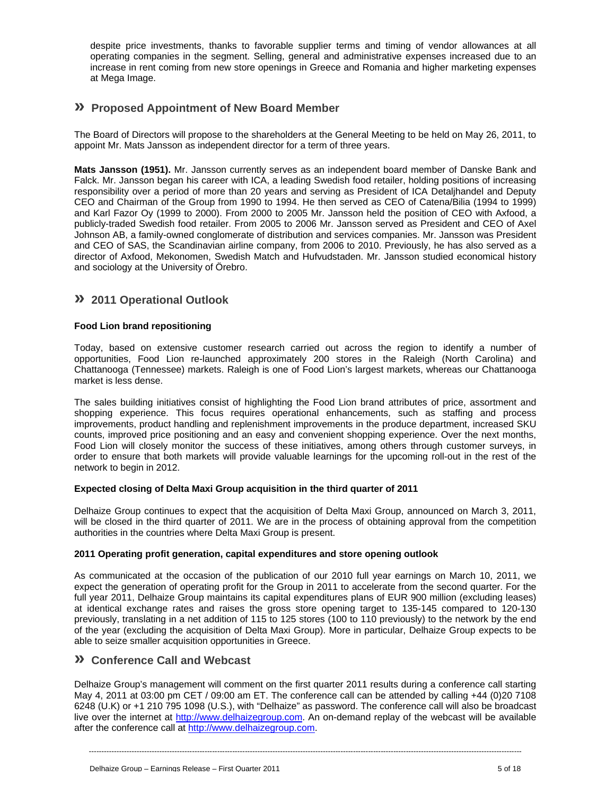despite price investments, thanks to favorable supplier terms and timing of vendor allowances at all operating companies in the segment. Selling, general and administrative expenses increased due to an increase in rent coming from new store openings in Greece and Romania and higher marketing expenses at Mega Image.

# **» Proposed Appointment of New Board Member**

The Board of Directors will propose to the shareholders at the General Meeting to be held on May 26, 2011, to appoint Mr. Mats Jansson as independent director for a term of three years.

**Mats Jansson (1951).** Mr. Jansson currently serves as an independent board member of Danske Bank and Falck. Mr. Jansson began his career with ICA, a leading Swedish food retailer, holding positions of increasing responsibility over a period of more than 20 years and serving as President of ICA Detaljhandel and Deputy CEO and Chairman of the Group from 1990 to 1994. He then served as CEO of Catena/Bilia (1994 to 1999) and Karl Fazor Oy (1999 to 2000). From 2000 to 2005 Mr. Jansson held the position of CEO with Axfood, a publicly-traded Swedish food retailer. From 2005 to 2006 Mr. Jansson served as President and CEO of Axel Johnson AB, a family-owned conglomerate of distribution and services companies. Mr. Jansson was President and CEO of SAS, the Scandinavian airline company, from 2006 to 2010. Previously, he has also served as a director of Axfood, Mekonomen, Swedish Match and Hufvudstaden. Mr. Jansson studied economical history and sociology at the University of Örebro.

# **» 2011 Operational Outlook**

### **Food Lion brand repositioning**

Today, based on extensive customer research carried out across the region to identify a number of opportunities, Food Lion re-launched approximately 200 stores in the Raleigh (North Carolina) and Chattanooga (Tennessee) markets. Raleigh is one of Food Lion's largest markets, whereas our Chattanooga market is less dense.

The sales building initiatives consist of highlighting the Food Lion brand attributes of price, assortment and shopping experience. This focus requires operational enhancements, such as staffing and process improvements, product handling and replenishment improvements in the produce department, increased SKU counts, improved price positioning and an easy and convenient shopping experience. Over the next months, Food Lion will closely monitor the success of these initiatives, among others through customer surveys, in order to ensure that both markets will provide valuable learnings for the upcoming roll-out in the rest of the network to begin in 2012.

### **Expected closing of Delta Maxi Group acquisition in the third quarter of 2011**

Delhaize Group continues to expect that the acquisition of Delta Maxi Group, announced on March 3, 2011, will be closed in the third quarter of 2011. We are in the process of obtaining approval from the competition authorities in the countries where Delta Maxi Group is present.

### **2011 Operating profit generation, capital expenditures and store opening outlook**

As communicated at the occasion of the publication of our 2010 full year earnings on March 10, 2011, we expect the generation of operating profit for the Group in 2011 to accelerate from the second quarter. For the full year 2011, Delhaize Group maintains its capital expenditures plans of EUR 900 million (excluding leases) at identical exchange rates and raises the gross store opening target to 135-145 compared to 120-130 previously, translating in a net addition of 115 to 125 stores (100 to 110 previously) to the network by the end of the year (excluding the acquisition of Delta Maxi Group). More in particular, Delhaize Group expects to be able to seize smaller acquisition opportunities in Greece.

# **» Conference Call and Webcast**

Delhaize Group's management will comment on the first quarter 2011 results during a conference call starting May 4, 2011 at 03:00 pm CET / 09:00 am ET. The conference call can be attended by calling +44 (0)20 7108 6248 (U.K) or +1 210 795 1098 (U.S.), with "Delhaize" as password. The conference call will also be broadcast live over the internet at http://www.delhaizegroup.com. An on-demand replay of the webcast will be available after the conference call at http://www.delhaizegroup.com.

----------------------------------------------------------------------------------------------------------------------------------------------------------------------------

Delhaize Group – Earnings Release – First Quarter 2011 5 of 18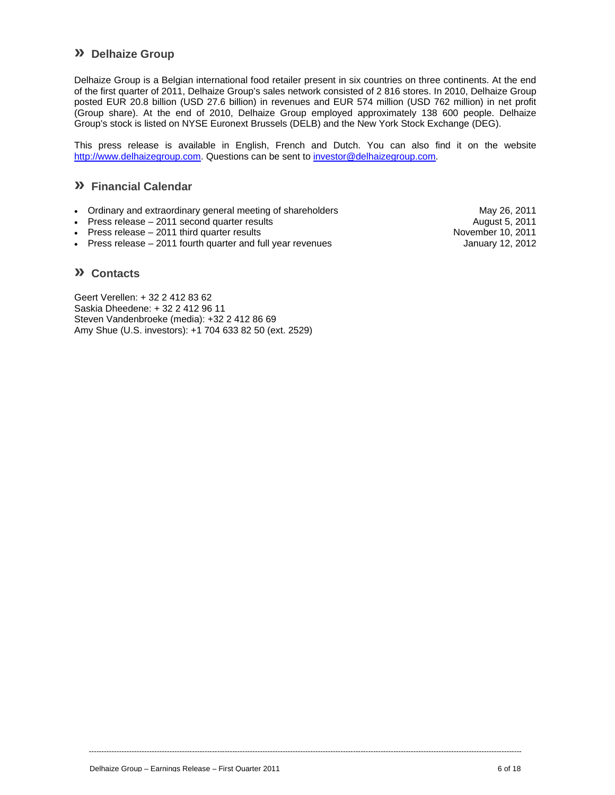# **» Delhaize Group**

Delhaize Group is a Belgian international food retailer present in six countries on three continents. At the end of the first quarter of 2011, Delhaize Group's sales network consisted of 2 816 stores. In 2010, Delhaize Group posted EUR 20.8 billion (USD 27.6 billion) in revenues and EUR 574 million (USD 762 million) in net profit (Group share). At the end of 2010, Delhaize Group employed approximately 138 600 people. Delhaize Group's stock is listed on NYSE Euronext Brussels (DELB) and the New York Stock Exchange (DEG).

This press release is available in English, French and Dutch. You can also find it on the website http://www.delhaizegroup.com. Questions can be sent to investor@delhaizegroup.com.

----------------------------------------------------------------------------------------------------------------------------------------------------------------------------

# **» Financial Calendar**

- Ordinary and extraordinary general meeting of shareholders **May 26, 2011** May 26, 2011
- Press release 2011 second quarter results August 5, 2011<br>
Press release 2011 third quarter results August 5, 2011
- Press release  $-2011$  third quarter results
- Press release 2011 fourth quarter and full year revenues January 12, 2012

### **» Contacts**

Geert Verellen: + 32 2 412 83 62 Saskia Dheedene: + 32 2 412 96 11 Steven Vandenbroeke (media): +32 2 412 86 69 Amy Shue (U.S. investors): +1 704 633 82 50 (ext. 2529)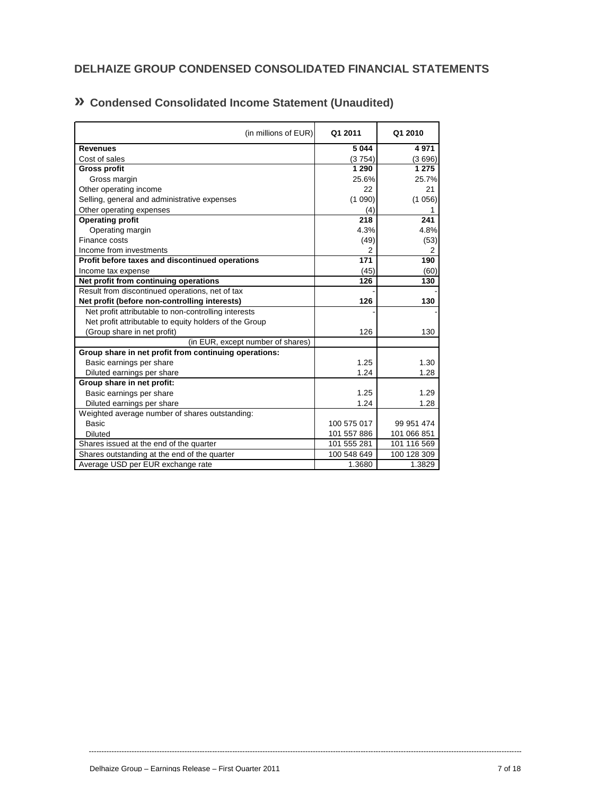| (in millions of EUR)                                   | Q1 2011         | Q1 2010     |
|--------------------------------------------------------|-----------------|-------------|
| <b>Revenues</b>                                        | 5 0 4 4         | 4971        |
| Cost of sales                                          | (3754)          | (3696)      |
| <b>Gross profit</b>                                    | 1 2 9 0         | 1 2 7 5     |
| Gross margin                                           | 25.6%           | 25.7%       |
| Other operating income                                 | 22              | 21          |
| Selling, general and administrative expenses           | (1090)          | (1056)      |
| Other operating expenses                               | (4)             | 1           |
| <b>Operating profit</b>                                | 218             | 241         |
| Operating margin                                       | 4.3%            | 4.8%        |
| Finance costs                                          | (49)            | (53)        |
| Income from investments                                | 2               | 2           |
| Profit before taxes and discontinued operations        | $\frac{1}{171}$ | 190         |
| Income tax expense                                     | (45)            | (60)        |
| Net profit from continuing operations                  | 126             | 130         |
| Result from discontinued operations, net of tax        |                 |             |
| Net profit (before non-controlling interests)          | 126             | 130         |
| Net profit attributable to non-controlling interests   |                 |             |
| Net profit attributable to equity holders of the Group |                 |             |
| (Group share in net profit)                            | 126             | 130         |
| (in EUR, except number of shares)                      |                 |             |
| Group share in net profit from continuing operations:  |                 |             |
| Basic earnings per share                               | 1.25            | 1.30        |
| Diluted earnings per share                             | 1.24            | 1.28        |
| Group share in net profit:                             |                 |             |
| Basic earnings per share                               | 1.25            | 1.29        |
| Diluted earnings per share                             | 1.24            | 1.28        |
| Weighted average number of shares outstanding:         |                 |             |
| <b>Basic</b>                                           | 100 575 017     | 99 951 474  |
| <b>Diluted</b>                                         | 101 557 886     | 101 066 851 |
| Shares issued at the end of the quarter                | 101 555 281     | 101 116 569 |
| Shares outstanding at the end of the quarter           | 100 548 649     | 100 128 309 |
| Average USD per EUR exchange rate                      | 1.3680          | 1.3829      |

# **» Condensed Consolidated Income Statement (Unaudited)**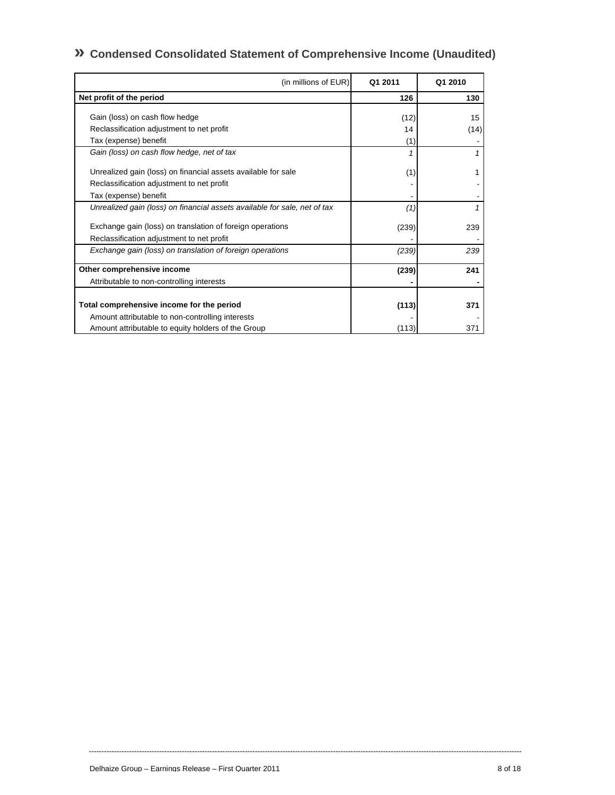# **» Condensed Consolidated Statement of Comprehensive Income (Unaudited)**

| (in millions of EUR)                                                      | Q1 2011 | Q1 2010 |
|---------------------------------------------------------------------------|---------|---------|
| Net profit of the period                                                  | 126     | 130     |
| Gain (loss) on cash flow hedge                                            | (12)    | 15      |
| Reclassification adjustment to net profit                                 | 14      | (14)    |
| Tax (expense) benefit                                                     | (1)     |         |
| Gain (loss) on cash flow hedge, net of tax                                |         |         |
| Unrealized gain (loss) on financial assets available for sale             | (1)     |         |
| Reclassification adjustment to net profit                                 |         |         |
| Tax (expense) benefit                                                     |         |         |
| Unrealized gain (loss) on financial assets available for sale, net of tax | (1)     |         |
| Exchange gain (loss) on translation of foreign operations                 | (239)   | 239     |
| Reclassification adjustment to net profit                                 |         |         |
| Exchange gain (loss) on translation of foreign operations                 | (239)   | 239     |
| Other comprehensive income                                                | (239)   | 241     |
| Attributable to non-controlling interests                                 |         |         |
|                                                                           |         |         |
| Total comprehensive income for the period                                 | (113)   | 371     |
| Amount attributable to non-controlling interests                          |         |         |
| Amount attributable to equity holders of the Group                        | (113)   | 371     |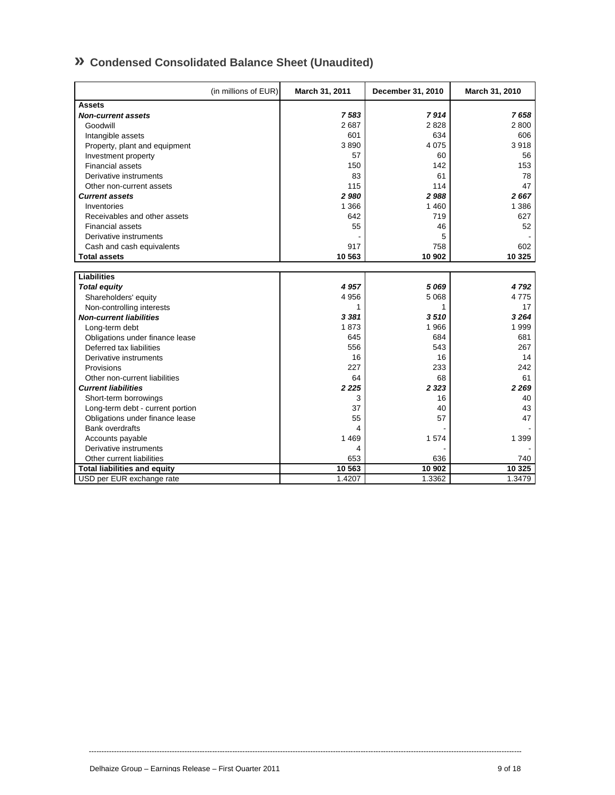# **» Condensed Consolidated Balance Sheet (Unaudited)**

|                                     | (in millions of EUR) | March 31, 2011 | December 31, 2010 | March 31, 2010 |
|-------------------------------------|----------------------|----------------|-------------------|----------------|
| <b>Assets</b>                       |                      |                |                   |                |
| <b>Non-current assets</b>           |                      | 7583           | 7914              | 7658           |
| Goodwill                            |                      | 2687           | 2828              | 2800           |
| Intangible assets                   |                      | 601            | 634               | 606            |
| Property, plant and equipment       |                      | 3890           | 4 0 7 5           | 3918           |
| Investment property                 |                      | 57             | 60                | 56             |
| <b>Financial assets</b>             |                      | 150            | 142               | 153            |
| Derivative instruments              |                      | 83             | 61                | 78             |
| Other non-current assets            |                      | 115            | 114               | 47             |
| <b>Current assets</b>               |                      | 2 9 8 0        | 2988              | 2667           |
| Inventories                         |                      | 1 3 6 6        | 1 4 6 0           | 1 3 8 6        |
| Receivables and other assets        |                      | 642            | 719               | 627            |
| <b>Financial assets</b>             |                      | 55             | 46                | 52             |
| Derivative instruments              |                      |                | 5                 |                |
| Cash and cash equivalents           |                      | 917            | 758               | 602            |
| <b>Total assets</b>                 |                      | 10 563         | 10 902            | 10 3 25        |
| <b>Liabilities</b>                  |                      |                |                   |                |
| <b>Total equity</b>                 |                      | 4 9 5 7        | 5 0 6 9           | 4792           |
| Shareholders' equity                |                      | 4956           | 5 0 68            | 4775           |
| Non-controlling interests           |                      | 1              | 1                 | 17             |
| <b>Non-current liabilities</b>      |                      | 3 3 8 1        | 3510              | 3264           |
| Long-term debt                      |                      | 1873           | 1966              | 1999           |
| Obligations under finance lease     |                      | 645            | 684               | 681            |
| Deferred tax liabilities            |                      | 556            | 543               | 267            |
| Derivative instruments              |                      | 16             | 16                | 14             |
| Provisions                          |                      | 227            | 233               | 242            |
| Other non-current liabilities       |                      | 64             | 68                | 61             |
| <b>Current liabilities</b>          |                      | 2 2 2 5        | 2 3 2 3           | 2 2 6 9        |
| Short-term borrowings               |                      | 3              | 16                | 40             |
| Long-term debt - current portion    |                      | 37             | 40                | 43             |
| Obligations under finance lease     |                      | 55             | 57                | 47             |
| <b>Bank overdrafts</b>              |                      | 4              |                   |                |
| Accounts payable                    |                      | 1 4 6 9        | 1574              | 1 3 9 9        |
| Derivative instruments              |                      | 4              |                   |                |
| Other current liabilities           |                      | 653            | 636               | 740            |
| <b>Total liabilities and equity</b> |                      | 10 563         | 10 902            | 10 3 25        |
| USD per EUR exchange rate           |                      | 1.4207         | 1.3362            | 1.3479         |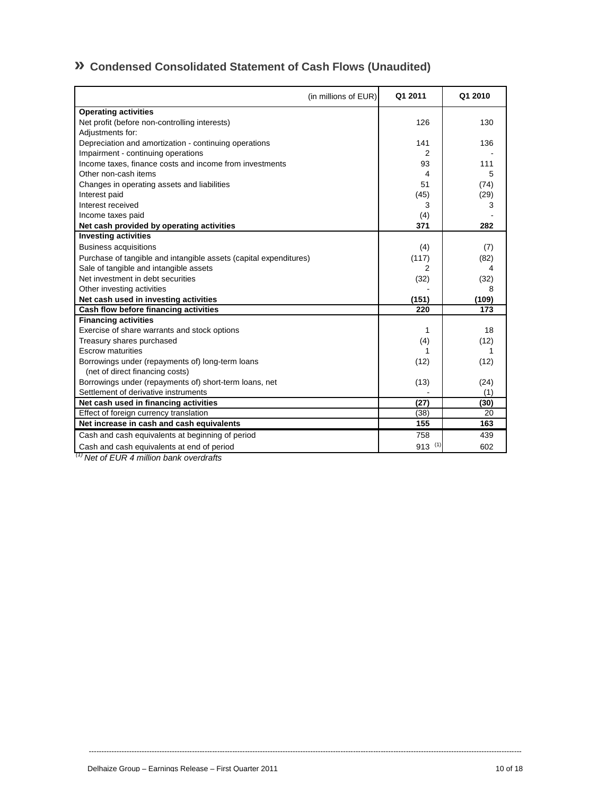# **» Condensed Consolidated Statement of Cash Flows (Unaudited)**

| (in millions of EUR)                                              | Q1 2011     | Q1 2010 |
|-------------------------------------------------------------------|-------------|---------|
| <b>Operating activities</b>                                       |             |         |
| Net profit (before non-controlling interests)                     | 126         | 130     |
| Adjustments for:                                                  |             |         |
| Depreciation and amortization - continuing operations             | 141         | 136     |
| Impairment - continuing operations                                | 2           |         |
| Income taxes, finance costs and income from investments           | 93          | 111     |
| Other non-cash items                                              | 4           | 5       |
| Changes in operating assets and liabilities                       | 51          | (74)    |
| Interest paid                                                     | (45)        | (29)    |
| Interest received                                                 | 3           | 3       |
| Income taxes paid                                                 | (4)         |         |
| Net cash provided by operating activities                         | 371         | 282     |
| <b>Investing activities</b>                                       |             |         |
| <b>Business acquisitions</b>                                      | (4)         | (7)     |
| Purchase of tangible and intangible assets (capital expenditures) | (117)       | (82)    |
| Sale of tangible and intangible assets                            | 2           | 4       |
| Net investment in debt securities                                 | (32)        | (32)    |
| Other investing activities                                        |             | 8       |
| Net cash used in investing activities                             | (151)       | (109)   |
| Cash flow before financing activities                             | 220         | 173     |
| <b>Financing activities</b>                                       |             |         |
| Exercise of share warrants and stock options                      | 1           | 18      |
| Treasury shares purchased                                         | (4)         | (12)    |
| <b>Escrow maturities</b>                                          | 1           |         |
| Borrowings under (repayments of) long-term loans                  | (12)        | (12)    |
| (net of direct financing costs)                                   |             |         |
| Borrowings under (repayments of) short-term loans, net            | (13)        | (24)    |
| Settlement of derivative instruments                              |             | (1)     |
| Net cash used in financing activities                             | (27)        | (30)    |
| Effect of foreign currency translation                            | (38)        | 20      |
| Net increase in cash and cash equivalents                         | 155         | 163     |
| Cash and cash equivalents at beginning of period                  | 758         | 439     |
| Cash and cash equivalents at end of period                        | $913^{(1)}$ | 602     |

----------------------------------------------------------------------------------------------------------------------------------------------------------------------------

 *(1) Net of EUR 4 million bank overdrafts*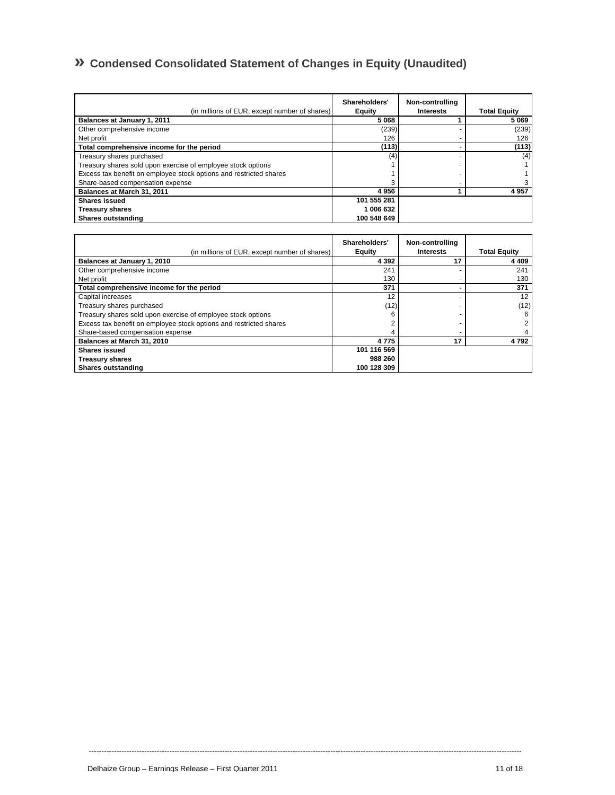# **» Condensed Consolidated Statement of Changes in Equity (Unaudited)**

| (in millions of EUR, except number of shares)                      | Shareholders'<br>Equity | Non-controlling<br><b>Interests</b> | <b>Total Equity</b> |
|--------------------------------------------------------------------|-------------------------|-------------------------------------|---------------------|
| Balances at January 1, 2011                                        | 5068                    |                                     | 5069                |
| Other comprehensive income                                         | (239)                   |                                     | (239)               |
| Net profit                                                         | 126                     |                                     | 126                 |
| Total comprehensive income for the period                          | (113)                   |                                     | (113)               |
| Treasury shares purchased                                          | (4)                     |                                     | (4)                 |
| Treasury shares sold upon exercise of employee stock options       |                         |                                     |                     |
| Excess tax benefit on employee stock options and restricted shares |                         |                                     |                     |
| Share-based compensation expense                                   |                         |                                     |                     |
| Balances at March 31, 2011                                         | 4956                    |                                     | 4957                |
| <b>Shares issued</b>                                               | 101 555 281             |                                     |                     |
| <b>Treasury shares</b>                                             | 1 006 632               |                                     |                     |
| Shares outstanding                                                 | 100 548 649             |                                     |                     |

| (in millions of EUR, except number of shares)                      | Shareholders'<br>Equity | Non-controlling<br><b>Interests</b> | <b>Total Equity</b> |
|--------------------------------------------------------------------|-------------------------|-------------------------------------|---------------------|
| Balances at January 1, 2010                                        | 4 3 9 2                 | 17                                  | 4 4 0 9             |
| Other comprehensive income                                         | 241                     |                                     | 241                 |
| Net profit                                                         | 130                     |                                     | 130                 |
| Total comprehensive income for the period                          | 371                     |                                     | 371                 |
| Capital increases                                                  | 12                      |                                     | 12                  |
| Treasury shares purchased                                          | (12)                    |                                     | (12)                |
| Treasury shares sold upon exercise of employee stock options       | 6                       |                                     | 6                   |
| Excess tax benefit on employee stock options and restricted shares |                         |                                     |                     |
| Share-based compensation expense                                   |                         |                                     |                     |
| Balances at March 31, 2010                                         | 4775                    | 17                                  | 4792                |
| <b>Shares issued</b>                                               | 101 116 569             |                                     |                     |
| <b>Treasury shares</b>                                             | 988 260                 |                                     |                     |
| Shares outstanding                                                 | 100 128 309             |                                     |                     |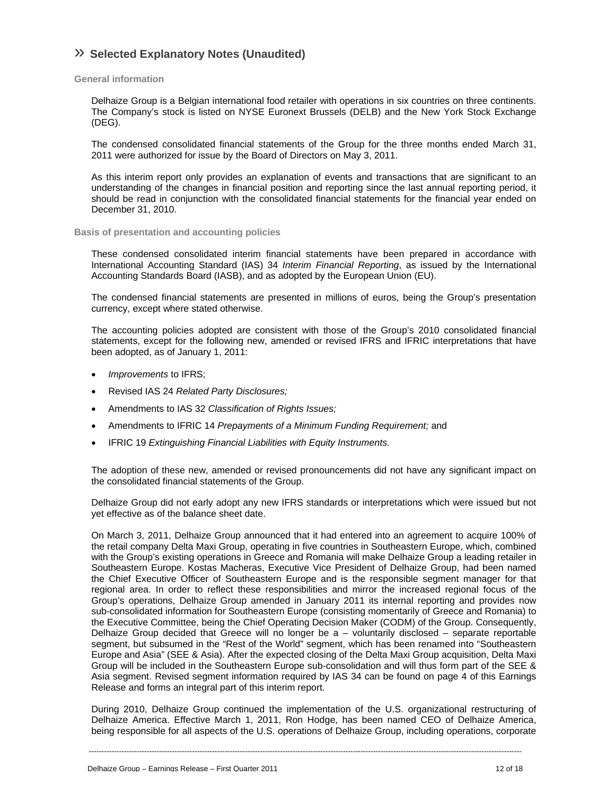# » **Selected Explanatory Notes (Unaudited)**

### **General information**

Delhaize Group is a Belgian international food retailer with operations in six countries on three continents. The Company's stock is listed on NYSE Euronext Brussels (DELB) and the New York Stock Exchange (DEG).

The condensed consolidated financial statements of the Group for the three months ended March 31, 2011 were authorized for issue by the Board of Directors on May 3, 2011.

As this interim report only provides an explanation of events and transactions that are significant to an understanding of the changes in financial position and reporting since the last annual reporting period, it should be read in conjunction with the consolidated financial statements for the financial year ended on December 31, 2010.

### **Basis of presentation and accounting policies**

These condensed consolidated interim financial statements have been prepared in accordance with International Accounting Standard (IAS) 34 *Interim Financial Reporting*, as issued by the International Accounting Standards Board (IASB), and as adopted by the European Union (EU).

The condensed financial statements are presented in millions of euros, being the Group's presentation currency, except where stated otherwise.

The accounting policies adopted are consistent with those of the Group's 2010 consolidated financial statements, except for the following new, amended or revised IFRS and IFRIC interpretations that have been adopted, as of January 1, 2011:

- *Improvements* to IFRS;
- Revised IAS 24 *Related Party Disclosures;*
- Amendments to IAS 32 *Classification of Rights Issues;*
- Amendments to IFRIC 14 *Prepayments of a Minimum Funding Requirement;* and
- IFRIC 19 *Extinguishing Financial Liabilities with Equity Instruments.*

The adoption of these new, amended or revised pronouncements did not have any significant impact on the consolidated financial statements of the Group.

Delhaize Group did not early adopt any new IFRS standards or interpretations which were issued but not yet effective as of the balance sheet date.

On March 3, 2011, Delhaize Group announced that it had entered into an agreement to acquire 100% of the retail company Delta Maxi Group, operating in five countries in Southeastern Europe, which, combined with the Group's existing operations in Greece and Romania will make Delhaize Group a leading retailer in Southeastern Europe. Kostas Macheras, Executive Vice President of Delhaize Group, had been named the Chief Executive Officer of Southeastern Europe and is the responsible segment manager for that regional area. In order to reflect these responsibilities and mirror the increased regional focus of the Group's operations, Delhaize Group amended in January 2011 its internal reporting and provides now sub-consolidated information for Southeastern Europe (consisting momentarily of Greece and Romania) to the Executive Committee, being the Chief Operating Decision Maker (CODM) of the Group. Consequently, Delhaize Group decided that Greece will no longer be a – voluntarily disclosed – separate reportable segment, but subsumed in the "Rest of the World" segment, which has been renamed into "Southeastern Europe and Asia" (SEE & Asia). After the expected closing of the Delta Maxi Group acquisition, Delta Maxi Group will be included in the Southeastern Europe sub-consolidation and will thus form part of the SEE & Asia segment. Revised segment information required by IAS 34 can be found on page 4 of this Earnings Release and forms an integral part of this interim report.

During 2010, Delhaize Group continued the implementation of the U.S. organizational restructuring of Delhaize America. Effective March 1, 2011, Ron Hodge, has been named CEO of Delhaize America, being responsible for all aspects of the U.S. operations of Delhaize Group, including operations, corporate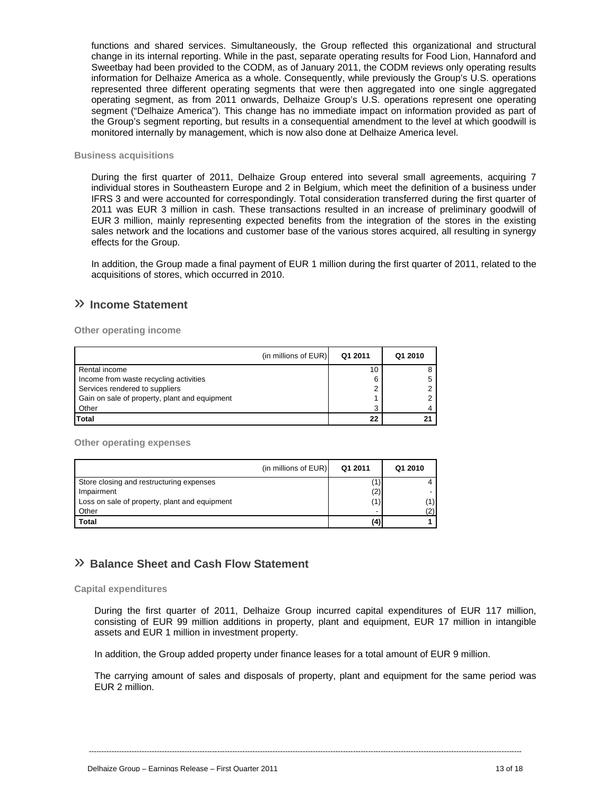functions and shared services. Simultaneously, the Group reflected this organizational and structural change in its internal reporting. While in the past, separate operating results for Food Lion, Hannaford and Sweetbay had been provided to the CODM, as of January 2011, the CODM reviews only operating results information for Delhaize America as a whole. Consequently, while previously the Group's U.S. operations represented three different operating segments that were then aggregated into one single aggregated operating segment, as from 2011 onwards, Delhaize Group's U.S. operations represent one operating segment ("Delhaize America"). This change has no immediate impact on information provided as part of the Group's segment reporting, but results in a consequential amendment to the level at which goodwill is monitored internally by management, which is now also done at Delhaize America level.

### **Business acquisitions**

During the first quarter of 2011, Delhaize Group entered into several small agreements, acquiring 7 individual stores in Southeastern Europe and 2 in Belgium, which meet the definition of a business under IFRS 3 and were accounted for correspondingly. Total consideration transferred during the first quarter of 2011 was EUR 3 million in cash. These transactions resulted in an increase of preliminary goodwill of EUR 3 million, mainly representing expected benefits from the integration of the stores in the existing sales network and the locations and customer base of the various stores acquired, all resulting in synergy effects for the Group.

In addition, the Group made a final payment of EUR 1 million during the first quarter of 2011, related to the acquisitions of stores, which occurred in 2010.

# » **Income Statement**

**Other operating income** 

| (in millions of EUR)                          | Q1 2011 | Q1 2010 |
|-----------------------------------------------|---------|---------|
| Rental income                                 | 10      |         |
| Income from waste recycling activities        | 6       |         |
| Services rendered to suppliers                | ◠       |         |
| Gain on sale of property, plant and equipment |         |         |
| Other                                         | 3       |         |
| <b>Total</b>                                  | 22      |         |

**Other operating expenses** 

|                                               | (in millions of EUR) | Q1 2011                  | Q1 2010 |
|-----------------------------------------------|----------------------|--------------------------|---------|
| Store closing and restructuring expenses      |                      |                          |         |
| Impairment                                    |                      | (2)                      |         |
| Loss on sale of property, plant and equipment |                      | (1)                      | '1).    |
| Other                                         |                      | $\overline{\phantom{0}}$ |         |
| <b>Total</b>                                  |                      | (4)                      |         |

## » **Balance Sheet and Cash Flow Statement**

### **Capital expenditures**

During the first quarter of 2011, Delhaize Group incurred capital expenditures of EUR 117 million, consisting of EUR 99 million additions in property, plant and equipment, EUR 17 million in intangible assets and EUR 1 million in investment property.

In addition, the Group added property under finance leases for a total amount of EUR 9 million.

The carrying amount of sales and disposals of property, plant and equipment for the same period was EUR 2 million.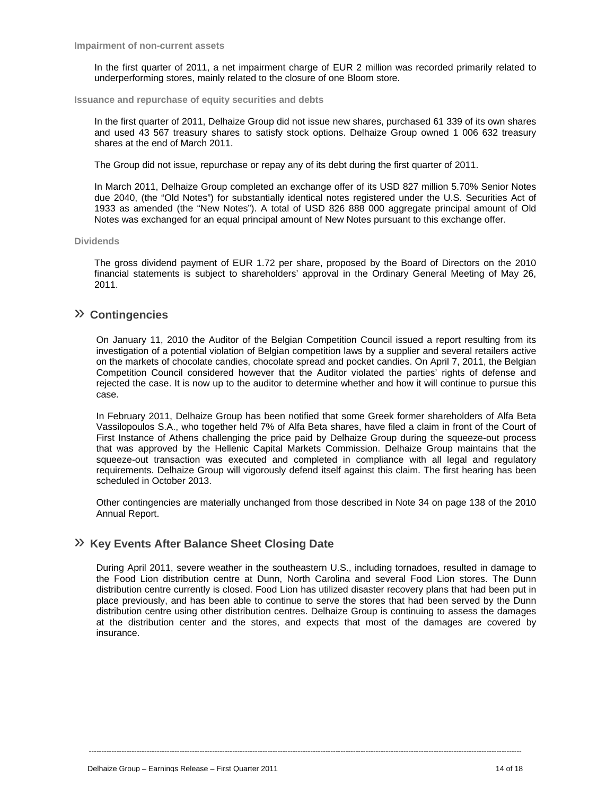In the first quarter of 2011, a net impairment charge of EUR 2 million was recorded primarily related to underperforming stores, mainly related to the closure of one Bloom store.

**Issuance and repurchase of equity securities and debts** 

In the first quarter of 2011, Delhaize Group did not issue new shares, purchased 61 339 of its own shares and used 43 567 treasury shares to satisfy stock options. Delhaize Group owned 1 006 632 treasury shares at the end of March 2011.

The Group did not issue, repurchase or repay any of its debt during the first quarter of 2011.

In March 2011, Delhaize Group completed an exchange offer of its USD 827 million 5.70% Senior Notes due 2040, (the "Old Notes") for substantially identical notes registered under the U.S. Securities Act of 1933 as amended (the "New Notes"). A total of USD 826 888 000 aggregate principal amount of Old Notes was exchanged for an equal principal amount of New Notes pursuant to this exchange offer.

#### **Dividends**

The gross dividend payment of EUR 1.72 per share, proposed by the Board of Directors on the 2010 financial statements is subject to shareholders' approval in the Ordinary General Meeting of May 26, 2011.

# » **Contingencies**

On January 11, 2010 the Auditor of the Belgian Competition Council issued a report resulting from its investigation of a potential violation of Belgian competition laws by a supplier and several retailers active on the markets of chocolate candies, chocolate spread and pocket candies. On April 7, 2011, the Belgian Competition Council considered however that the Auditor violated the parties' rights of defense and rejected the case. It is now up to the auditor to determine whether and how it will continue to pursue this case.

In February 2011, Delhaize Group has been notified that some Greek former shareholders of Alfa Beta Vassilopoulos S.A., who together held 7% of Alfa Beta shares, have filed a claim in front of the Court of First Instance of Athens challenging the price paid by Delhaize Group during the squeeze-out process that was approved by the Hellenic Capital Markets Commission. Delhaize Group maintains that the squeeze-out transaction was executed and completed in compliance with all legal and regulatory requirements. Delhaize Group will vigorously defend itself against this claim. The first hearing has been scheduled in October 2013.

Other contingencies are materially unchanged from those described in Note 34 on page 138 of the 2010 Annual Report.

# » **Key Events After Balance Sheet Closing Date**

During April 2011, severe weather in the southeastern U.S., including tornadoes, resulted in damage to the Food Lion distribution centre at Dunn, North Carolina and several Food Lion stores. The Dunn distribution centre currently is closed. Food Lion has utilized disaster recovery plans that had been put in place previously, and has been able to continue to serve the stores that had been served by the Dunn distribution centre using other distribution centres. Delhaize Group is continuing to assess the damages at the distribution center and the stores, and expects that most of the damages are covered by insurance.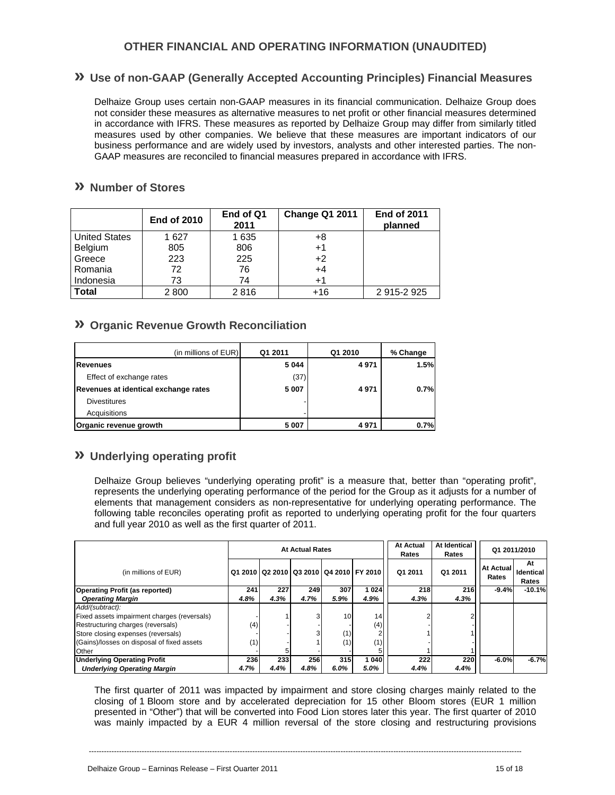# **OTHER FINANCIAL AND OPERATING INFORMATION (UNAUDITED)**

# **» Use of non-GAAP (Generally Accepted Accounting Principles) Financial Measures**

Delhaize Group uses certain non-GAAP measures in its financial communication. Delhaize Group does not consider these measures as alternative measures to net profit or other financial measures determined in accordance with IFRS. These measures as reported by Delhaize Group may differ from similarly titled measures used by other companies. We believe that these measures are important indicators of our business performance and are widely used by investors, analysts and other interested parties. The non-GAAP measures are reconciled to financial measures prepared in accordance with IFRS.

# **» Number of Stores**

|                      | <b>End of 2010</b> | End of Q1<br>2011 | <b>Change Q1 2011</b> | <b>End of 2011</b><br>planned |
|----------------------|--------------------|-------------------|-----------------------|-------------------------------|
| <b>United States</b> | 1627               | 1635              | +8                    |                               |
| Belgium              | 805                | 806               | $+1$                  |                               |
| Greece               | 223                | 225               | $+2$                  |                               |
| Romania              | 72                 | 76                | $+4$                  |                               |
| Indonesia            | 73                 | 74                | $+1$                  |                               |
| <b>Total</b>         | 2800               | 2816              | $+16$                 | 2915-2925                     |

# **» Organic Revenue Growth Reconciliation**

| (in millions of EUR)                 | Q1 2011 | Q1 2010 | % Change |
|--------------------------------------|---------|---------|----------|
| Revenues                             | 5 0 4 4 | 4971    | 1.5%     |
| Effect of exchange rates             | (37)    |         |          |
| Revenues at identical exchange rates | 5 0 0 7 | 4971    | 0.7%     |
| <b>Divestitures</b>                  |         |         |          |
| Acquisitions                         |         |         |          |
| Organic revenue growth               | 5 0 0 7 | 4971    | 0.7%     |

# **» Underlying operating profit**

Delhaize Group believes "underlying operating profit" is a measure that, better than "operating profit", represents the underlying operating performance of the period for the Group as it adjusts for a number of elements that management considers as non-representative for underlying operating performance. The following table reconciles operating profit as reported to underlying operating profit for the four quarters and full year 2010 as well as the first quarter of 2011.

|                                             | <b>At Actual Rates</b> |      |            |      | <b>At Actual</b><br>Rates               | At Identical<br>Rates | Q1 2011/2010 |                    |                          |
|---------------------------------------------|------------------------|------|------------|------|-----------------------------------------|-----------------------|--------------|--------------------|--------------------------|
| (in millions of EUR)                        |                        |      |            |      | Q1 2010 Q2 2010 Q3 2010 Q4 2010 FY 2010 | Q1 2011               | Q1 2011      | At Actual<br>Rates | At<br>Identical<br>Rates |
| <b>Operating Profit (as reported)</b>       | 241                    | 227  | <b>249</b> | 307  | 1024                                    | 218                   | 216          | $-9.4%$            | $-10.1%$                 |
| <b>Operating Margin</b>                     | 4.8%                   | 4.3% | 4.7%       | 5.9% | 4.9%                                    | 4.3%                  | 4.3%         |                    |                          |
| Add/(subtract):                             |                        |      |            |      |                                         |                       |              |                    |                          |
| Fixed assets impairment charges (reversals) |                        |      |            | 10   | 14                                      |                       |              |                    |                          |
| Restructuring charges (reversals)           | (4)                    |      |            |      | (4)                                     |                       |              |                    |                          |
| Store closing expenses (reversals)          |                        |      |            | (1)  |                                         |                       |              |                    |                          |
| (Gains)/losses on disposal of fixed assets  | (1)                    |      |            | (1)  | (1)                                     |                       |              |                    |                          |
| Other                                       |                        |      |            |      |                                         |                       |              |                    |                          |
| <b>Underlying Operating Profit</b>          | 236                    | 233  | 256        | 315  | 1040                                    | 222                   | 220          | $-6.0%$            | $-6.7%$                  |
| <b>Underlying Operating Margin</b>          | 4.7%                   | 4.4% | 4.8%       | 6.0% | 5.0%                                    | 4.4%                  | 4.4%         |                    |                          |

The first quarter of 2011 was impacted by impairment and store closing charges mainly related to the closing of 1 Bloom store and by accelerated depreciation for 15 other Bloom stores (EUR 1 million presented in "Other") that will be converted into Food Lion stores later this year. The first quarter of 2010 was mainly impacted by a EUR 4 million reversal of the store closing and restructuring provisions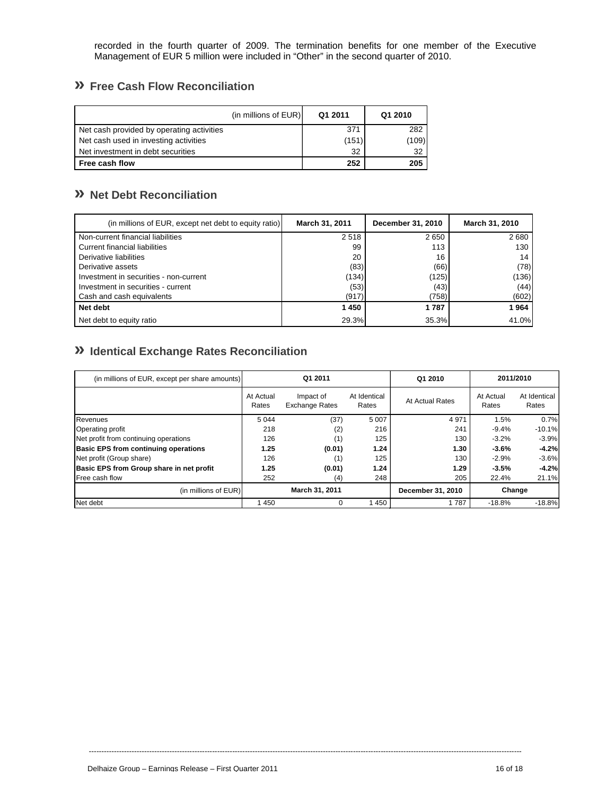recorded in the fourth quarter of 2009. The termination benefits for one member of the Executive Management of EUR 5 million were included in "Other" in the second quarter of 2010.

# **» Free Cash Flow Reconciliation**

| (in millions of EUR)                      | Q1 2011 | Q1 2010 |
|-------------------------------------------|---------|---------|
| Net cash provided by operating activities | 371     | 282     |
| Net cash used in investing activities     | (151)   | (109)   |
| Net investment in debt securities         | 32      | 32      |
| Free cash flow                            | 252     | 205     |

# **» Net Debt Reconciliation**

| (in millions of EUR, except net debt to equity ratio) | March 31, 2011 | December 31, 2010 | March 31, 2010 |
|-------------------------------------------------------|----------------|-------------------|----------------|
| Non-current financial liabilities                     | 2518           | 2650              | 2680           |
| <b>Current financial liabilities</b>                  | 99             | 113               | 130            |
| Derivative liabilities                                | 20             | 16                | 14             |
| Derivative assets                                     | (83)           | (66)              | (78)           |
| Investment in securities - non-current                | (134)          | (125)             | (136)          |
| Investment in securities - current                    | (53)           | (43)              | (44)           |
| Cash and cash equivalents                             | (917)          | (758)             | (602)          |
| Net debt                                              | 1450           | 1787              | 1964           |
| Net debt to equity ratio                              | 29.3%          | 35.3%             | 41.0%          |

# **» Identical Exchange Rates Reconciliation**

| (in millions of EUR, except per share amounts) | Q1 2011            |                                    |                       | Q1 2010           | 2011/2010          |                       |
|------------------------------------------------|--------------------|------------------------------------|-----------------------|-------------------|--------------------|-----------------------|
|                                                | At Actual<br>Rates | Impact of<br><b>Exchange Rates</b> | At Identical<br>Rates | At Actual Rates   | At Actual<br>Rates | At Identical<br>Rates |
| Revenues                                       | 5 0 4 4            | (37)                               | 5 0 0 7               | 4971              | 1.5%               | 0.7%                  |
| <b>Operating profit</b>                        | 218                | (2)                                | 216                   | 241               | $-9.4%$            | $-10.1%$              |
| Net profit from continuing operations          | 126                | (1)                                | 125                   | 130               | $-3.2%$            | $-3.9%$               |
| <b>Basic EPS from continuing operations</b>    | 1.25               | (0.01)                             | 1.24                  | 1.30              | $-3.6%$            | $-4.2%$               |
| Net profit (Group share)                       | 126                | (1)                                | 125                   | 130               | $-2.9%$            | $-3.6%$               |
| Basic EPS from Group share in net profit       | 1.25               | (0.01)                             | 1.24                  | 1.29              | $-3.5%$            | $-4.2%$               |
| Free cash flow                                 | 252                | (4)                                | 248                   | 205               | 22.4%              | 21.1%                 |
| (in millions of EUR)                           | March 31, 2011     |                                    |                       | December 31, 2010 | Change             |                       |
| Net debt                                       | 450                |                                    | 1450                  | 1787              | $-18.8%$           | $-18.8%$              |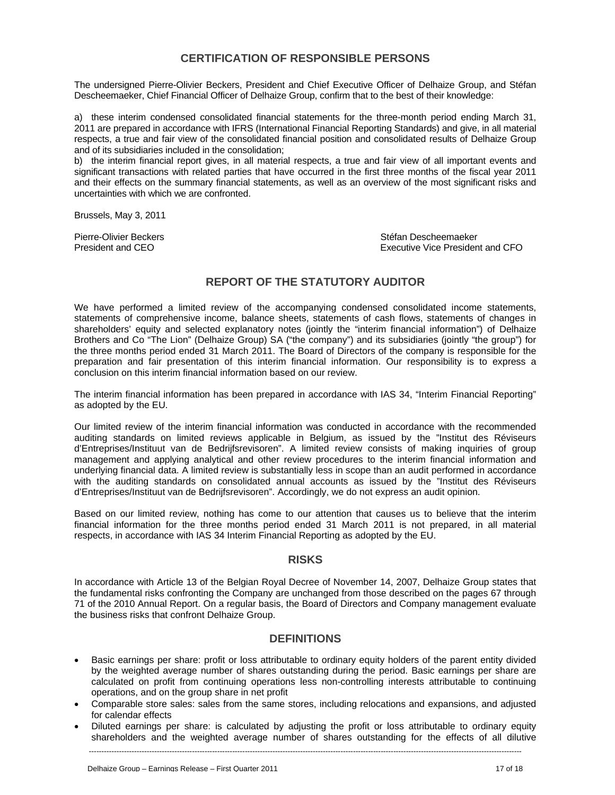# **CERTIFICATION OF RESPONSIBLE PERSONS**

The undersigned Pierre-Olivier Beckers, President and Chief Executive Officer of Delhaize Group, and Stéfan Descheemaeker, Chief Financial Officer of Delhaize Group, confirm that to the best of their knowledge:

a) these interim condensed consolidated financial statements for the three-month period ending March 31, 2011 are prepared in accordance with IFRS (International Financial Reporting Standards) and give, in all material respects, a true and fair view of the consolidated financial position and consolidated results of Delhaize Group and of its subsidiaries included in the consolidation;

b) the interim financial report gives, in all material respects, a true and fair view of all important events and significant transactions with related parties that have occurred in the first three months of the fiscal year 2011 and their effects on the summary financial statements, as well as an overview of the most significant risks and uncertainties with which we are confronted.

Brussels, May 3, 2011

Pierre-Olivier Beckers (Stefan Descheemaeker Stéfan Descheemaeker Stefan Descheemaeker (Stefan Descheemaeker Stefan Descheemaeker Stefan Descheemaeker (Stefan Descheemaeker Stefan Descheemaeker (Stefan Descheemaeker Stefan President and CEO Executive Vice President and CFO

# **REPORT OF THE STATUTORY AUDITOR**

We have performed a limited review of the accompanying condensed consolidated income statements, statements of comprehensive income, balance sheets, statements of cash flows, statements of changes in shareholders' equity and selected explanatory notes (jointly the "interim financial information") of Delhaize Brothers and Co "The Lion" (Delhaize Group) SA ("the company") and its subsidiaries (jointly "the group") for the three months period ended 31 March 2011. The Board of Directors of the company is responsible for the preparation and fair presentation of this interim financial information. Our responsibility is to express a conclusion on this interim financial information based on our review.

The interim financial information has been prepared in accordance with IAS 34, "Interim Financial Reporting" as adopted by the EU.

Our limited review of the interim financial information was conducted in accordance with the recommended auditing standards on limited reviews applicable in Belgium, as issued by the "Institut des Réviseurs d'Entreprises/Instituut van de Bedrijfsrevisoren". A limited review consists of making inquiries of group management and applying analytical and other review procedures to the interim financial information and underlying financial data. A limited review is substantially less in scope than an audit performed in accordance with the auditing standards on consolidated annual accounts as issued by the "Institut des Réviseurs d'Entreprises/Instituut van de Bedrijfsrevisoren". Accordingly, we do not express an audit opinion.

Based on our limited review, nothing has come to our attention that causes us to believe that the interim financial information for the three months period ended 31 March 2011 is not prepared, in all material respects, in accordance with IAS 34 Interim Financial Reporting as adopted by the EU.

### **RISKS**

In accordance with Article 13 of the Belgian Royal Decree of November 14, 2007, Delhaize Group states that the fundamental risks confronting the Company are unchanged from those described on the pages 67 through 71 of the 2010 Annual Report. On a regular basis, the Board of Directors and Company management evaluate the business risks that confront Delhaize Group.

### **DEFINITIONS**

- Basic earnings per share: profit or loss attributable to ordinary equity holders of the parent entity divided by the weighted average number of shares outstanding during the period. Basic earnings per share are calculated on profit from continuing operations less non-controlling interests attributable to continuing operations, and on the group share in net profit
- Comparable store sales: sales from the same stores, including relocations and expansions, and adjusted for calendar effects
- Diluted earnings per share: is calculated by adjusting the profit or loss attributable to ordinary equity shareholders and the weighted average number of shares outstanding for the effects of all dilutive